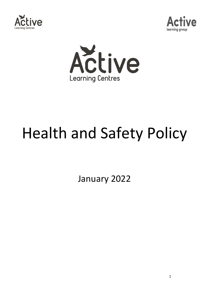





# Health and Safety Policy

January 2022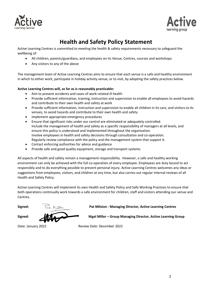



# **Health and Safety Policy Statement**

Active Learning Centres is committed to meeting the health & safety requirements necessary to safeguard the wellbeing of:

- All children, parents/guardians, and employees on its Venue, Centres, courses and workshops
- Any visitors to any of the above

The management team of Active Learning Centres aims to ensure that each venue is a safe and healthy environment in which to either work, participate in holiday activity venue, or to visit, by adopting the safety practices below.

#### **Active Learning Centres will, as far as is reasonably practicable:**

- Aim to prevent accidents and cases of work-related ill health
- Provide sufficient information, training, instruction and supervision to enable all employees to avoid hazards and contribute to their own health and safety at work
- Provide sufficient information, instruction and supervision to enable all children in its care, and visitors to its venues, to avoid hazards and contribute to their own health and safety
- Implement appropriate emergency procedures
- Ensure that significant risks under our control are eliminated or adequately controlled. Include the management of health and safety as a specific responsibility of managers at all levels, and ensure this policy is understood and implemented throughout the organisation. Involve employees in health and safety decisions through consultation and co-operation. Regularly review compliance with the policy and the management system that support it.
- Contact enforcing authorities for advice and guidance
- Provide safe and good quality equipment, storage and transport systems

All aspects of health and safety remain a management responsibility. However, a safe and healthy working environment can only be achieved with the full co-operation of every employee. Employees are duty bound to act responsibly and to do everything possible to prevent personal injury. Active Learning Centres welcomes any ideas or suggestions from employees, visitors, and children at any time, but also carries out regular internal reviews of all Health and Safety Policy.

Active Learning Centres will implement its own Health and Safety Policy and Safe Working Practices to ensure that both operations continually work towards a safe environment for children, staff and visitors attending our venue and Centres.

**Signed: Pat Milston - Managing Director, Active Learning Centres**

**Signed: Nigel Miller – Group Managing Director, Active Learning Group** 

Date: January 2022 Review Date: December 2022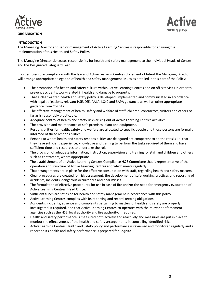

#### **ORGANISATION**



#### **INTRODUCTION**

The Managing Director and senior management of Active Learning Centres is responsible for ensuring the implementation of this Health and Safety Policy.

The Managing Director delegates responsibility for health and safety management to the individual Heads of Centre and the Designated Safeguard Lead.

In order to ensure compliance with the law and Active Learning Centres Statement of Intent the Managing Director will arrange appropriate delegation of health and safety management issues as detailed in this part of the Policy:

- The promotion of a health and safety culture within Active Learning Centres and on off-site visits in order to prevent accidents, work-related ill health and damage to property.
- That a clear written health and safety policy is developed, implemented and communicated in accordance with legal obligations, relevant HSE, DfE, AALA, LOtC and BAPA guidance, as well as other appropriate guidance from Cognita.
- The effective management of health, safety and welfare of staff, children, contractors, visitors and others so far as is reasonably practicable.
- Adequate control of health and safety risks arising out of Active Learning Centres activities.
- The provision and maintenance of safe premises, plant and equipment.
- Responsibilities for health, safety and welfare are allocated to specific people and those persons are formally informed of these responsibilities.
- Persons to whom health and safety responsibilities are delegated are competent to do their tasks i.e. that they have sufficient experience, knowledge and training to perform the tasks required of them and have sufficient time and resources to undertake the role.
- The provision of adequate information, instruction, supervision and training for staff and children and others such as contractors, where appropriate.
- The establishment of an Active Learning Centres Compliance H&S Committee that is representative of the operation and structure of Active Learning Centres and which meets regularly.
- That arrangements are in place for the effective consultation with staff, regarding health and safety matters.
- Clear procedures are created for risk assessment, the development of safe working practices and reporting of accidents, incidents, dangerous occurrences and near misses.
- The formulation of effective procedures for use in case of fire and/or the need for emergency evacuation of Active Learning Centres' Head Office.
- Sufficient funds are set aside for health and safety management in accordance with this policy.
- Active Learning Centres complies with its reporting and record keeping obligations.
- Accidents, incidents, absence and complaints pertaining to matters of health and safety are properly investigated, if required, and that Active Learning Centres co-operates with the relevant enforcement agencies such as the HSE, local authority and fire authority, if required.
- Health and safety performance is measured both actively and reactively and measures are put in place to monitor the effectiveness of the health and safety arrangements in controlling identified risks.
- Active Learning Centres Health and Safety policy and performance is reviewed and monitored regularly and a report on its health and safety performance is prepared for Cognita.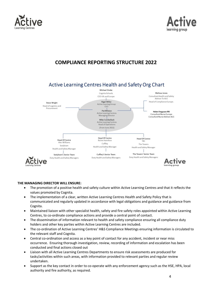### **THE MANAGING DIRECTOR WILL ENSURE:**

- The promotion of a positive health and safety culture within Active Learning Centres and that it reflects the values promoted by Cognita.
- The implementation of a clear, written Active Learning Centres Health and Safety Policy that is communicated and regularly updated in accordance with legal obligations and guidance and guidance from Cognita.
- Maintained liaison with other specialist health, safety and fire safety roles appointed within Active Learning Centres, to co-ordinate compliance actions and provide a central point of contact.
- The dissemination of information relevant to health and safety compliance ensuring all compliance duty holders and other key parties within Active Learning Centres are included.
- The co-ordination of Active Learning Centres' H&S Compliance Meetings ensuring information is circulated to the relevant staff and Cognita.
- Central co-ordination and access as a key point of contact for any accident, incident or near miss occurrence. Ensuring thorough investigation, review, recording of information and escalation has been conducted and final actions closed out
- Liaison with all Active Learning Centres Departments to ensure risk assessments are produced for tasks/activities within such areas, with information provided to relevant parties and regular review undertaken.
- Support as the key contact in order to co-operate with any enforcement agency such as the HSE, HPA, local authority and fire authority, as required.

#### Active Learning Centres Health and Safety Org Chart Michael Drake Cognita Schools

**COMPLIANCE REPORTING STRUCTURE 2022**







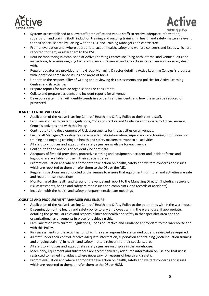



- Systems are established to allow staff (both office and venue staff) to receive adequate information, supervision and training (both induction training and ongoing training) in health and safety matters relevant to their specialist area by liaising with the DSL and Training Managers and centre staff.
- Prompt evaluation and, where appropriate, act on health, safety and welfare concerns and issues which are reported to them, or refer them to the DSL.
- Routine monitoring is established at Active Learning Centres including both internal and venue audits and inspections, to ensure ongoing H&S compliance is reviewed and any actions raised are appropriately dealt with.
- Regular updates are provided to the Group Managing Director detailing Active Learning Centres 's progress with identified compliance issues and areas of focus.
- Undertake the responsibility of writing and reviewing risk assessments and policies for Active Learning Centres and its activities.
- Prepare reports for outside organisations or consultants.
- Collate and prepare accidents and incident reports for all venue.
- Develop a system that will identify trends in accidents and incidents and how these can be reduced or prevented.

#### **HEAD OF CENTRE WILL ENSURE:**

- Application of the Active Learning Centres' Health and Safety Policy to their centre staff.
- Familiarisation with current Regulations, Codes of Practice and Guidance appropriate to Active Learning Centre's activities and with this Policy.
- Contribute to the development of Risk assessments for the activities on all venues.
- Ensure all Managers/Coordinators receive adequate information, supervision and training (both induction training and ongoing training) in health and safety matters relevant to all activities.
- All statutory notices and appropriate safety signs are available for each venue
- Contribute to the analysis of accident /incident data.
- Adequacy of first aid provisions, protective clothing and equipment, accident and incident forms and logbooks are available for use in their specialist area.
- Prompt evaluation and where appropriate take action on health, safety and welfare concerns and issues which are reported to them or refer them to the DSL or the MD.
- Regular inspections are conducted of the venues to ensure that equipment, furniture, and activities are safe and record these inspections.
- Monitoring of the health and safety of the venue and report to the Managing Director (Including records of risk assessments, health and safety related issues and complaints, and records of accidents).
- Inclusion with the health and safety at departmental/team meetings.

#### **LOGISTICS AND PROCUREMENT MANAGER WILL ENSURE:**

- Application of the Active Learning Centres' Health and Safety Policy to the operations within the warehouse
- Dissemination of the health and safety policy to any employees within the warehouse, if appropriate, detailing the particular roles and responsibilities for health and safety in that specialist area and the organisational arrangements in place for achieving this.
- Familiarisation with current Regulations, Codes of Practice and Guidance appropriate to the warehouse and with this Policy.
- Risk assessments of the activities for which they are responsible are carried out and reviewed as required.
- All staff under their control, receive adequate information, supervision and training (both induction training and ongoing training) in health and safety matters relevant to their specialist area.
- All statutory notices and appropriate safety signs are on display in the warehouse.
- Machinery, equipment and substances are accompanied by adequate information on use and that use is restricted to named individuals where necessary for reasons of health and safety.
- Prompt evaluation and where appropriate take action on health, safety and welfare concerns and issues which are reported to them, or refer them to the DSL or HSM.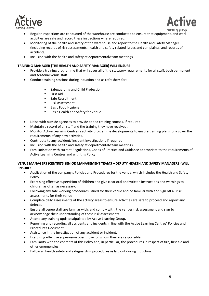



- Regular inspections are conducted of the warehouse are conducted to ensure that equipment, and work activities are safe and record these inspections where required.
- Monitoring of the health and safety of the warehouse and report to the Health and Safety Manager. (including records of risk assessments, health and safety related issues and complaints, and records of accidents)
- Inclusion with the health and safety at departmental/team meetings.

#### **TRAINING MANAGER (THE HEALTH AND SAFETY MANAGER) WILL ENSURE:**

- Provide a training programme that will cover all of the statutory requirements for all staff, both permanent and seasonal venue staff.
- Conduct training sessions during induction and as refreshers for;
	- Safeguarding and Child Protection.
	- First Aid
	- Safe Recruitment
	- Risk assessment
	- Basic Food Hygiene
	- Basic Health and Safety for Venue
- Liaise with outside agencies to provide added training courses, if required**.**
- Maintain a record of all staff and the training they have received**.**
- Monitor Active Learning Centres s activity programme developments to ensure training plans fully cover the requirements of any new activities.
- Contribute to any accident/ incident investigations if required.
- Inclusion with the health and safety at departmental/team meetings.
- Familiarisation with current Regulations, Codes of Practice and Guidance appropriate to the requirements of Active Learning Centres and with this Policy.

#### **VENUE MANAGERS (CENTRE'S SENIOR MANAGEMENT TEAMS – DEPUTY HEALTH AND SAFETY MANAGERS) WILL ENSURE:**

- Application of the company's Policies and Procedures for the venue, which includes the Health and Safety Policy.
- Exercising effective supervision of children and give clear oral and written instructions and warnings to children as often as necessary.
- Following any safe working procedures issued for their venue and be familiar with and sign off all risk assessments for their venue
- Complete daily assessments of the activity areas to ensure activities are safe to proceed and report any defects.
- Ensure all venue staff are familiar with, and comply with, the venues risk assessment and sign to acknowledge their understanding of these risk assessments.
- Attend any training update stipulated by Active Learning Group.
- Reporting and recording all accidents and incidents in line with the Active Learning Centres' Policies and Procedures Document.
- Assistance in the investigation of any accident or incident.
- Exercising effective supervision over those for whom they are responsible.
- Familiarity with the contents of this Policy and, in particular, the procedures in respect of fire, first aid and other emergencies.
- Follow all health safety and safeguarding procedures as laid out during induction.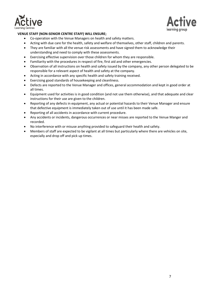



#### **VENUE STAFF (NON-SENIOR CENTRE STAFF) WILL ENSURE;**

- Co-operation with the Venue Managers on health and safety matters.
- Acting with due care for the health, safety and welfare of themselves, other staff, children and parents.
- They are familiar with all the venue risk assessments and have signed them to acknowledge their understanding and need to comply with these assessments.
- Exercising effective supervision over those children for whom they are responsible.
- Familiarity with the procedures in respect of fire, first aid and other emergencies.
- Observation of all instructions on health and safety issued by the company, any other person delegated to be responsible for a relevant aspect of health and safety at the company.
- Acting in accordance with any specific health and safety training received.
- Exercising good standards of housekeeping and cleanliness.
- Defects are reported to the Venue Manager and offices, general accommodation and kept in good order at all times.
- Equipment used for activities is in good condition (and not use them otherwise), and that adequate and clear instructions for their use are given to the children.
- Reporting of any defects in equipment, any actual or potential hazards to their Venue Manager and ensure that defective equipment is immediately taken out of use until it has been made safe.
- Reporting of all accidents in accordance with current procedure.
- Any accidents or incidents, dangerous occurrences or near misses are reported to the Venue Manger and recorded.
- No interference with or misuse anything provided to safeguard their health and safety.
- Members of staff are expected to be vigilant at all times but particularly where there are vehicles on site, especially and drop off and pick up times.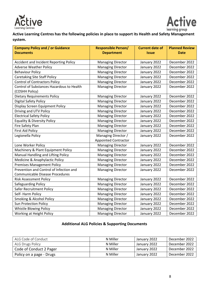



**Active Learning Centres has the following policies in place to support its Health and Safety Management system.**

| <b>Company Policy and / or Guidance</b>   | <b>Responsible Person/</b>  | <b>Current date of</b> | <b>Planned Review</b> |
|-------------------------------------------|-----------------------------|------------------------|-----------------------|
| <b>Documents</b>                          | <b>Department</b>           | <b>Issue</b>           | <b>Date</b>           |
| Accident and Incident Reporting Policy    | <b>Managing Director</b>    | January 2022           | December 2022         |
| <b>Adverse Weather Policy</b>             | <b>Managing Director</b>    | January 2022           | December 2022         |
| <b>Behaviour Policy</b>                   | <b>Managing Director</b>    | January 2022           | December 2022         |
| <b>Caretaking Site Staff Policy</b>       | <b>Managing Director</b>    | January 2022           | December 2022         |
| <b>Control of Contractors Policy</b>      | <b>Managing Director</b>    | January 2022           | December 2022         |
| Control of Substances Hazardous to Health | <b>Managing Director</b>    | January 2022           | December 2022         |
| (COSHH Policy)                            |                             |                        |                       |
| <b>Dietary Requirements Policy</b>        | <b>Managing Director</b>    | January 2022           | December 2022         |
| <b>Digital Safety Policy</b>              | <b>Managing Director</b>    | January 2022           | December 2022         |
| Display Screen Equipment Policy           | <b>Managing Director</b>    | January 2022           | December 2022         |
| Driving and UTV Policy                    | <b>Managing Director</b>    | January 2022           | December 2022         |
| <b>Electrical Safety Policy</b>           | <b>Managing Director</b>    | January 2022           | December 2022         |
| <b>Equality &amp; Diversity Policy</b>    | <b>Managing Director</b>    | January 2022           | December 2022         |
| Fire Safety Plan                          | <b>Managing Director</b>    | January 2022           | December 2022         |
| <b>First Aid Policy</b>                   | <b>Managing Director</b>    | January 2022           | December 2022         |
| Legionella Policy                         | Managing Director /         | January 2022           | December 2022         |
|                                           | <b>Appointed Contractor</b> |                        |                       |
| Lone Worker Policy                        | <b>Managing Director</b>    | January 2022           | December 2022         |
| Machinery & Plant Equipment Policy        | <b>Managing Director</b>    | January 2022           | December 2022         |
| Manual Handling and Lifting Policy        | <b>Managing Director</b>    | January 2022           | December 2022         |
| Medicine & Anaphylactic Policy            | <b>Managing Director</b>    | January 2022           | December 2022         |
| <b>Premises Management Policy</b>         | <b>Managing Director</b>    | January 2022           | December 2022         |
| Prevention and Control of Infection and   | <b>Managing Director</b>    | January 2022           | December 2022         |
| <b>Communicable Disease Procedures</b>    |                             |                        |                       |
| <b>Risk Assessment Policy</b>             | <b>Managing Director</b>    | January 2022           | December 2022         |
| Safeguarding Policy                       | <b>Managing Director</b>    | January 2022           | December 2022         |
| Safer Recruitment Policy                  | <b>Managing Director</b>    | January 2022           | December 2022         |
| Self- Harm Policy                         | <b>Managing Director</b>    | January 2022           | December 2022         |
| <b>Smoking &amp; Alcohol Policy</b>       | <b>Managing Director</b>    | January 2022           | December 2022         |
| Sun Protection Policy                     | <b>Managing Director</b>    | January 2022           | December 2022         |
| Whistle Blowing Policy                    | <b>Managing Director</b>    | January 2022           | December 2022         |
| Working at Height Policy                  | <b>Managing Director</b>    | January 2022           | December 2022         |

# **Additional ALG Policies & Supporting Documents**

| ALG Code of Conduct      | N Miller | January 2022 | December 2022 |
|--------------------------|----------|--------------|---------------|
| <b>ALG Drugs Policy</b>  | N Miller | January 2022 | December 2022 |
| Code of Conduct 2 Pager  | N Miller | January 2022 | December 2022 |
| Policy on a page - Drugs | N Miller | January 2022 | December 2022 |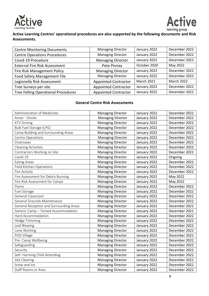



# **Active Learning Centres' operational procedures are also supported by the following documents and Risk Assessments.**

| <b>Centre Monitoring Documents</b>         | <b>Managing Director</b>    | January 2022      | December 2022     |
|--------------------------------------------|-----------------------------|-------------------|-------------------|
| <b>Centre Operations Procedures</b>        | <b>Managing Director</b>    | January 2022      | December 2022     |
| Covid-19 Procedure                         | <b>Managing Director</b>    | January 2022      | December 2022     |
| <b>External Fire Risk Assessment</b>       | Pete Pinney                 | October 2020      | May 2022          |
| Fire Risk Management Policy                | <b>Managing Director</b>    | January 2022      | December 2022     |
| Food Safety Management File                | <b>Managing Director</b>    | January 2022      | December 2022     |
| Legionella Risk Assessment                 | <b>Appointed Contractor</b> | <b>March 2021</b> | <b>March 2022</b> |
| Tree Surveys per site                      | <b>Appointed Contractor</b> | January 2022      | December 2022     |
| <b>Tree Felling Operational Procedures</b> | <b>Appointed Contractor</b> | January 2022      | December 2022     |

## **General Centre Risk Assessments**

| <b>Administration of Medicines</b>      | <b>Managing Director</b> | January 2022 | December 2022 |
|-----------------------------------------|--------------------------|--------------|---------------|
| Arson - Onsite                          | <b>Managing Director</b> | January 2022 | December 2022 |
| <b>ATV Driving</b>                      | <b>Managing Director</b> | January 2022 | December 2022 |
| Bulk Fuel Storage (LPG)                 | <b>Managing Director</b> | January 2022 | December 2022 |
| Camp Building and Surrounding Areas     | <b>Managing Director</b> | January 2022 | December 2022 |
| Centre Operations                       | <b>Managing Director</b> | January 2022 | December 2022 |
| Chainsaws                               | <b>Managing Director</b> | January 2022 | December 2022 |
| <b>Cleaning Activities</b>              | <b>Managing Director</b> | January 2022 | December 2022 |
| Contractors Working on Site             | <b>Managing Director</b> | January 2022 | December 2022 |
| Covid-19                                | <b>Managing Director</b> | January 2022 | Ongoing       |
| <b>Eating Areas</b>                     | <b>Managing Director</b> | January 2022 | December 2022 |
| Field Kitchen Operations                | <b>Managing Director</b> | January 2022 | December 2022 |
| Fire Activity                           | <b>Managing Director</b> | January 2022 | December 2022 |
| Fire Assessment for Debris Burning      | <b>Managing Director</b> | January 2022 | May 2022      |
| Fire Risk Assessment for Camps          | <b>Managing Director</b> | January 2022 | May 2022      |
| Flymo                                   | <b>Managing Director</b> | January 2022 | December 2022 |
| Fuel Storage                            | <b>Managing Director</b> | January 2022 | December 2022 |
| General Classroom                       | <b>Managing Director</b> | January 2022 | December 2022 |
| General Grounds Maintenance             | <b>Managing Director</b> | January 2022 | December 2022 |
| General Reception and Surrounding Areas | <b>Managing Director</b> | January 2022 | December 2022 |
| Generic Camp - Tented Accommodation     | <b>Managing Director</b> | January 2022 | December 2022 |
| Hard Accommodation                      | <b>Managing Director</b> | January 2022 | December 2022 |
| Hedge Trimming                          | <b>Managing Director</b> | January 2022 | December 2022 |
| Leaf Blowing                            | <b>Managing Director</b> | January 2022 | December 2022 |
| Lone Working                            | <b>Managing Director</b> | January 2022 | December 2022 |
| POD Village                             | <b>Managing Director</b> | January 2022 | December 2022 |
| Pre- Camp Wellbeing                     | <b>Managing Director</b> | January 2022 | December 2022 |
| Safeguarding                            | <b>Managing Director</b> | January 2022 | December 2022 |
| Security                                | <b>Managing Director</b> | January 2022 | December 2022 |
| Self- Harming Child Attending           | <b>Managing Director</b> | January 2022 | December 2022 |
| Site Clearing                           | <b>Managing Director</b> | January 2022 | December 2022 |
| Snow and Ice                            | <b>Managing Director</b> | January 2022 | December 2022 |
| Staff Rooms or Area                     | <b>Managing Director</b> | January 2022 | December 2022 |